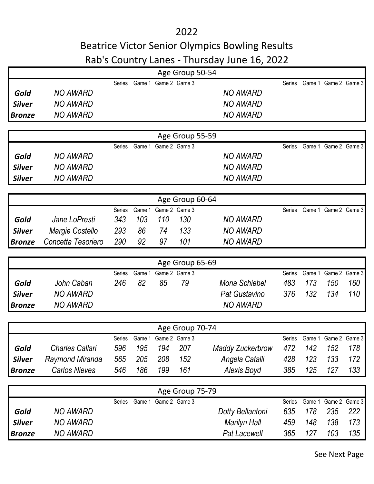2022

## Beatrice Victor Senior Olympics Bowling Results Rab's Country Lanes - Thursday June 16, 2022

|               |                        |               |        |                      | Age Group 50-54 |                         |        |        |                      |     |
|---------------|------------------------|---------------|--------|----------------------|-----------------|-------------------------|--------|--------|----------------------|-----|
|               |                        | <b>Series</b> |        | Game 1 Game 2 Game 3 |                 |                         | Series |        | Game 1 Game 2 Game 3 |     |
| Gold          | <b>NO AWARD</b>        |               |        |                      |                 | <b>NO AWARD</b>         |        |        |                      |     |
| <b>Silver</b> | <b>NO AWARD</b>        |               |        |                      |                 | <b>NO AWARD</b>         |        |        |                      |     |
| <b>Bronze</b> | <b>NO AWARD</b>        |               |        |                      |                 | <b>NO AWARD</b>         |        |        |                      |     |
|               |                        |               |        |                      |                 |                         |        |        |                      |     |
|               |                        |               |        |                      | Age Group 55-59 |                         |        |        |                      |     |
|               |                        | Series        | Game 1 | Game 2 Game 3        |                 |                         | Series |        | Game 1 Game 2 Game 3 |     |
| Gold          | <b>NO AWARD</b>        |               |        |                      |                 | <b>NO AWARD</b>         |        |        |                      |     |
| <b>Silver</b> | <b>NO AWARD</b>        |               |        |                      |                 | <b>NO AWARD</b>         |        |        |                      |     |
| <b>Silver</b> | <b>NO AWARD</b>        |               |        |                      |                 | <b>NO AWARD</b>         |        |        |                      |     |
|               |                        |               |        |                      |                 |                         |        |        |                      |     |
|               |                        |               |        |                      | Age Group 60-64 |                         |        |        |                      |     |
|               |                        | Series        | Game 1 |                      | Game 2 Game 3   |                         | Series |        | Game 1 Game 2 Game 3 |     |
| Gold          | Jane LoPresti          | 343           | 103    | 110                  | 130             | <b>NO AWARD</b>         |        |        |                      |     |
| <b>Silver</b> | Margie Costello        | 293           | 86     | 74                   | 133             | <b>NO AWARD</b>         |        |        |                      |     |
| <b>Bronze</b> | Concetta Tesoriero     | 290           | 92     | 97                   | 101             | <b>NO AWARD</b>         |        |        |                      |     |
|               |                        |               |        |                      | Age Group 65-69 |                         |        |        |                      |     |
|               |                        | Series        | Game 1 |                      | Game 2 Game 3   |                         | Series | Game 1 | Game 2 Game 3        |     |
| Gold          | John Caban             | 246           | 82     | 85                   | 79              | Mona Schiebel           | 483    | 173    | 150                  | 160 |
| <b>Silver</b> | <b>NO AWARD</b>        |               |        |                      |                 | Pat Gustavino           | 376    | 132    | 134                  | 110 |
| <b>Bronze</b> | <b>NO AWARD</b>        |               |        |                      |                 | <b>NO AWARD</b>         |        |        |                      |     |
|               |                        |               |        |                      |                 |                         |        |        |                      |     |
|               |                        |               |        |                      | Age Group 70-74 |                         |        |        |                      |     |
|               |                        | Series        |        | Game 1 Game 2 Game 3 |                 |                         | Series |        | Game 1 Game 2 Game 3 |     |
| Gold          | <b>Charles Callari</b> | 596           | 195    | 194                  | 207             | <b>Maddy Zuckerbrow</b> | 472    | 142    | 152                  | 178 |
| <b>Silver</b> | Raymond Miranda        | 565           | 205    | 208                  | 152             | Angela Catalli          | 428    | 123    | 133                  | 172 |
| <b>Bronze</b> | <b>Carlos Nieves</b>   | 546           | 186    | 199                  | 161             | Alexis Boyd             | 385    | 125    | 127                  | 133 |
|               |                        |               |        |                      |                 |                         |        |        |                      |     |
|               |                        | Series        |        | Game 1 Game 2 Game 3 | Age Group 75-79 |                         | Series |        | Game 1 Game 2 Game 3 |     |
| Gold          | <b>NO AWARD</b>        |               |        |                      |                 | Dotty Bellantoni        | 635    | 178    | 235                  | 222 |
| <b>Silver</b> | <b>NO AWARD</b>        |               |        |                      |                 | <b>Marilyn Hall</b>     | 459    | 148    | 138                  | 173 |
|               | <b>NO AWARD</b>        |               |        |                      |                 | <b>Pat Lacewell</b>     | 365    | 127    | 103                  | 135 |
| <b>Bronze</b> |                        |               |        |                      |                 |                         |        |        |                      |     |